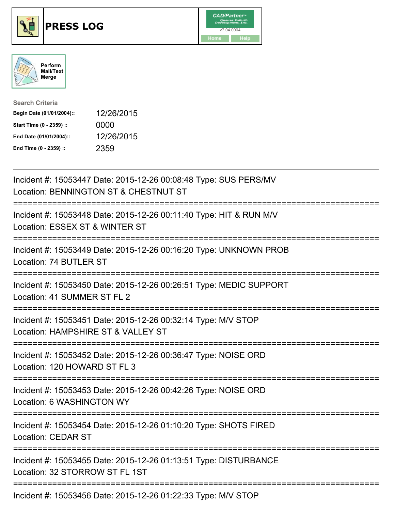





| <b>Search Criteria</b>    |            |
|---------------------------|------------|
| Begin Date (01/01/2004):: | 12/26/2015 |
| Start Time (0 - 2359) ::  | 0000       |
| End Date (01/01/2004)::   | 12/26/2015 |
| End Time (0 - 2359) ::    | 2359       |

| Incident #: 15053447 Date: 2015-12-26 00:08:48 Type: SUS PERS/MV<br>Location: BENNINGTON ST & CHESTNUT ST                                                       |
|-----------------------------------------------------------------------------------------------------------------------------------------------------------------|
| Incident #: 15053448 Date: 2015-12-26 00:11:40 Type: HIT & RUN M/V<br>Location: ESSEX ST & WINTER ST                                                            |
| Incident #: 15053449 Date: 2015-12-26 00:16:20 Type: UNKNOWN PROB<br>Location: 74 BUTLER ST                                                                     |
| Incident #: 15053450 Date: 2015-12-26 00:26:51 Type: MEDIC SUPPORT<br>Location: 41 SUMMER ST FL 2                                                               |
| Incident #: 15053451 Date: 2015-12-26 00:32:14 Type: M/V STOP<br>Location: HAMPSHIRE ST & VALLEY ST                                                             |
| Incident #: 15053452 Date: 2015-12-26 00:36:47 Type: NOISE ORD<br>Location: 120 HOWARD ST FL 3<br>================                                              |
| Incident #: 15053453 Date: 2015-12-26 00:42:26 Type: NOISE ORD<br>Location: 6 WASHINGTON WY<br>:=====================<br>====================================== |
| Incident #: 15053454 Date: 2015-12-26 01:10:20 Type: SHOTS FIRED<br><b>Location: CEDAR ST</b>                                                                   |
| Incident #: 15053455 Date: 2015-12-26 01:13:51 Type: DISTURBANCE<br>Location: 32 STORROW ST FL 1ST                                                              |
| Incident #: 15053456 Date: 2015-12-26 01:22:33 Type: M/V STOP                                                                                                   |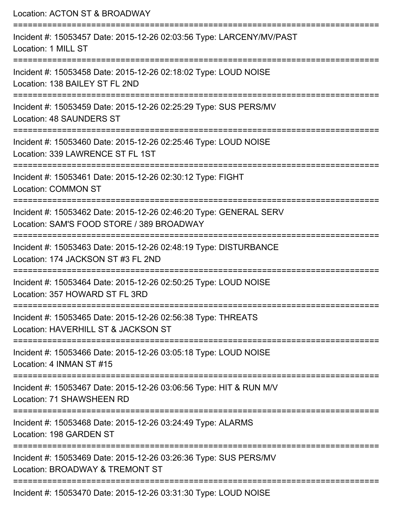Location: ACTON ST & BROADWAY =========================================================================== Incident #: 15053457 Date: 2015-12-26 02:03:56 Type: LARCENY/MV/PAST Location: 1 MILL ST =========================================================================== Incident #: 15053458 Date: 2015-12-26 02:18:02 Type: LOUD NOISE Location: 138 BAILEY ST FL 2ND =========================================================================== Incident #: 15053459 Date: 2015-12-26 02:25:29 Type: SUS PERS/MV Location: 48 SAUNDERS ST =========================================================================== Incident #: 15053460 Date: 2015-12-26 02:25:46 Type: LOUD NOISE Location: 339 LAWRENCE ST FL 1ST =========================================================================== Incident #: 15053461 Date: 2015-12-26 02:30:12 Type: FIGHT Location: COMMON ST =========================================================================== Incident #: 15053462 Date: 2015-12-26 02:46:20 Type: GENERAL SERV Location: SAM'S FOOD STORE / 389 BROADWAY =========================================================================== Incident #: 15053463 Date: 2015-12-26 02:48:19 Type: DISTURBANCE Location: 174 JACKSON ST #3 FL 2ND =========================================================================== Incident #: 15053464 Date: 2015-12-26 02:50:25 Type: LOUD NOISE Location: 357 HOWARD ST FL 3RD =========================================================================== Incident #: 15053465 Date: 2015-12-26 02:56:38 Type: THREATS Location: HAVERHILL ST & JACKSON ST =========================================================================== Incident #: 15053466 Date: 2015-12-26 03:05:18 Type: LOUD NOISE Location: 4 INMAN ST #15 =========================================================================== Incident #: 15053467 Date: 2015-12-26 03:06:56 Type: HIT & RUN M/V Location: 71 SHAWSHEEN RD =========================================================================== Incident #: 15053468 Date: 2015-12-26 03:24:49 Type: ALARMS Location: 198 GARDEN ST =========================================================================== Incident #: 15053469 Date: 2015-12-26 03:26:36 Type: SUS PERS/MV Location: BROADWAY & TREMONT ST =========================================================================== Incident #: 15053470 Date: 2015-12-26 03:31:30 Type: LOUD NOISE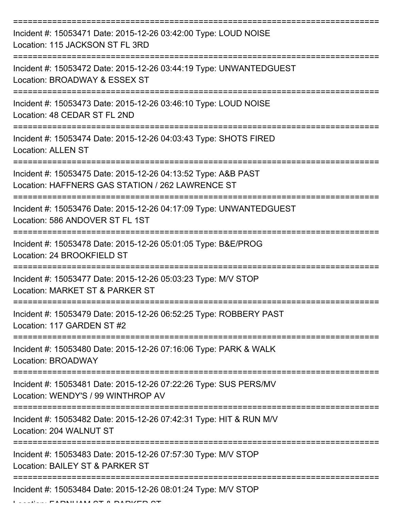| Incident #: 15053471 Date: 2015-12-26 03:42:00 Type: LOUD NOISE<br>Location: 115 JACKSON ST FL 3RD                |
|-------------------------------------------------------------------------------------------------------------------|
| Incident #: 15053472 Date: 2015-12-26 03:44:19 Type: UNWANTEDGUEST<br>Location: BROADWAY & ESSEX ST               |
| Incident #: 15053473 Date: 2015-12-26 03:46:10 Type: LOUD NOISE<br>Location: 48 CEDAR ST FL 2ND                   |
| Incident #: 15053474 Date: 2015-12-26 04:03:43 Type: SHOTS FIRED<br><b>Location: ALLEN ST</b>                     |
| Incident #: 15053475 Date: 2015-12-26 04:13:52 Type: A&B PAST<br>Location: HAFFNERS GAS STATION / 262 LAWRENCE ST |
| Incident #: 15053476 Date: 2015-12-26 04:17:09 Type: UNWANTEDGUEST<br>Location: 586 ANDOVER ST FL 1ST             |
| Incident #: 15053478 Date: 2015-12-26 05:01:05 Type: B&E/PROG<br>Location: 24 BROOKFIELD ST                       |
| Incident #: 15053477 Date: 2015-12-26 05:03:23 Type: M/V STOP<br>Location: MARKET ST & PARKER ST                  |
| Incident #: 15053479 Date: 2015-12-26 06:52:25 Type: ROBBERY PAST<br>Location: 117 GARDEN ST #2                   |
| Incident #: 15053480 Date: 2015-12-26 07:16:06 Type: PARK & WALK<br>Location: BROADWAY                            |
| Incident #: 15053481 Date: 2015-12-26 07:22:26 Type: SUS PERS/MV<br>Location: WENDY'S / 99 WINTHROP AV            |
| Incident #: 15053482 Date: 2015-12-26 07:42:31 Type: HIT & RUN M/V<br>Location: 204 WALNUT ST                     |
| Incident #: 15053483 Date: 2015-12-26 07:57:30 Type: M/V STOP<br>Location: BAILEY ST & PARKER ST                  |
| Incident #: 15053484 Date: 2015-12-26 08:01:24 Type: M/V STOP                                                     |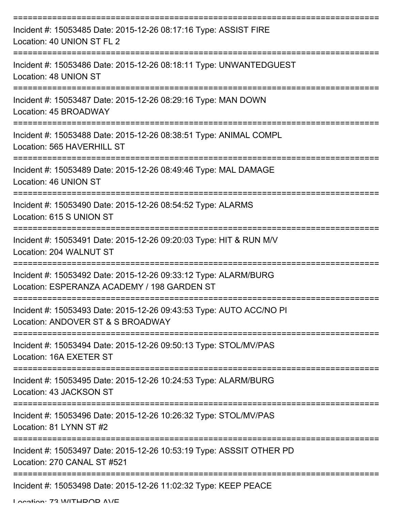| Incident #: 15053485 Date: 2015-12-26 08:17:16 Type: ASSIST FIRE<br>Location: 40 UNION ST FL 2                 |
|----------------------------------------------------------------------------------------------------------------|
| Incident #: 15053486 Date: 2015-12-26 08:18:11 Type: UNWANTEDGUEST<br>Location: 48 UNION ST                    |
| Incident #: 15053487 Date: 2015-12-26 08:29:16 Type: MAN DOWN<br>Location: 45 BROADWAY                         |
| Incident #: 15053488 Date: 2015-12-26 08:38:51 Type: ANIMAL COMPL<br>Location: 565 HAVERHILL ST                |
| Incident #: 15053489 Date: 2015-12-26 08:49:46 Type: MAL DAMAGE<br>Location: 46 UNION ST                       |
| Incident #: 15053490 Date: 2015-12-26 08:54:52 Type: ALARMS<br>Location: 615 S UNION ST                        |
| Incident #: 15053491 Date: 2015-12-26 09:20:03 Type: HIT & RUN M/V<br>Location: 204 WALNUT ST                  |
| Incident #: 15053492 Date: 2015-12-26 09:33:12 Type: ALARM/BURG<br>Location: ESPERANZA ACADEMY / 198 GARDEN ST |
| Incident #: 15053493 Date: 2015-12-26 09:43:53 Type: AUTO ACC/NO PI<br>Location: ANDOVER ST & S BROADWAY       |
| Incident #: 15053494 Date: 2015-12-26 09:50:13 Type: STOL/MV/PAS<br>Location: 16A EXETER ST                    |
| Incident #: 15053495 Date: 2015-12-26 10:24:53 Type: ALARM/BURG<br>Location: 43 JACKSON ST                     |
| Incident #: 15053496 Date: 2015-12-26 10:26:32 Type: STOL/MV/PAS<br>Location: 81 LYNN ST #2                    |
| Incident #: 15053497 Date: 2015-12-26 10:53:19 Type: ASSSIT OTHER PD<br>Location: 270 CANAL ST #521            |
| Incident #: 15053498 Date: 2015-12-26 11:02:32 Type: KEEP PEACE                                                |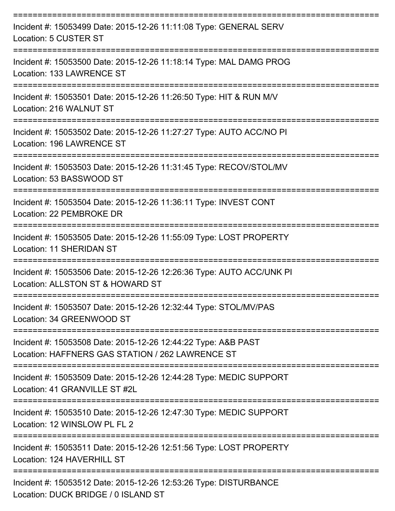| Incident #: 15053499 Date: 2015-12-26 11:11:08 Type: GENERAL SERV<br>Location: 5 CUSTER ST                        |
|-------------------------------------------------------------------------------------------------------------------|
| Incident #: 15053500 Date: 2015-12-26 11:18:14 Type: MAL DAMG PROG<br>Location: 133 LAWRENCE ST                   |
| Incident #: 15053501 Date: 2015-12-26 11:26:50 Type: HIT & RUN M/V<br>Location: 216 WALNUT ST                     |
| Incident #: 15053502 Date: 2015-12-26 11:27:27 Type: AUTO ACC/NO PI<br>Location: 196 LAWRENCE ST                  |
| Incident #: 15053503 Date: 2015-12-26 11:31:45 Type: RECOV/STOL/MV<br>Location: 53 BASSWOOD ST                    |
| Incident #: 15053504 Date: 2015-12-26 11:36:11 Type: INVEST CONT<br>Location: 22 PEMBROKE DR                      |
| Incident #: 15053505 Date: 2015-12-26 11:55:09 Type: LOST PROPERTY<br><b>Location: 11 SHERIDAN ST</b>             |
| Incident #: 15053506 Date: 2015-12-26 12:26:36 Type: AUTO ACC/UNK PI<br>Location: ALLSTON ST & HOWARD ST          |
| Incident #: 15053507 Date: 2015-12-26 12:32:44 Type: STOL/MV/PAS<br>Location: 34 GREENWOOD ST                     |
| Incident #: 15053508 Date: 2015-12-26 12:44:22 Type: A&B PAST<br>Location: HAFFNERS GAS STATION / 262 LAWRENCE ST |
| Incident #: 15053509 Date: 2015-12-26 12:44:28 Type: MEDIC SUPPORT<br>Location: 41 GRANVILLE ST #2L               |
| Incident #: 15053510 Date: 2015-12-26 12:47:30 Type: MEDIC SUPPORT<br>Location: 12 WINSLOW PL FL 2                |
| Incident #: 15053511 Date: 2015-12-26 12:51:56 Type: LOST PROPERTY<br>Location: 124 HAVERHILL ST                  |
| Incident #: 15053512 Date: 2015-12-26 12:53:26 Type: DISTURBANCE<br>Location: DUCK BRIDGE / 0 ISLAND ST           |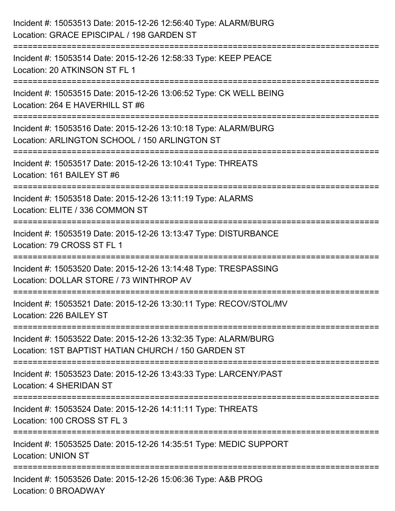| Incident #: 15053513 Date: 2015-12-26 12:56:40 Type: ALARM/BURG<br>Location: GRACE EPISCIPAL / 198 GARDEN ST                             |
|------------------------------------------------------------------------------------------------------------------------------------------|
| ==================================<br>Incident #: 15053514 Date: 2015-12-26 12:58:33 Type: KEEP PEACE<br>Location: 20 ATKINSON ST FL 1   |
| Incident #: 15053515 Date: 2015-12-26 13:06:52 Type: CK WELL BEING<br>Location: 264 E HAVERHILL ST #6                                    |
| Incident #: 15053516 Date: 2015-12-26 13:10:18 Type: ALARM/BURG<br>Location: ARLINGTON SCHOOL / 150 ARLINGTON ST<br>:=================== |
| Incident #: 15053517 Date: 2015-12-26 13:10:41 Type: THREATS<br>Location: 161 BAILEY ST #6<br>================================           |
| Incident #: 15053518 Date: 2015-12-26 13:11:19 Type: ALARMS<br>Location: ELITE / 336 COMMON ST                                           |
| Incident #: 15053519 Date: 2015-12-26 13:13:47 Type: DISTURBANCE<br>Location: 79 CROSS ST FL 1                                           |
| Incident #: 15053520 Date: 2015-12-26 13:14:48 Type: TRESPASSING<br>Location: DOLLAR STORE / 73 WINTHROP AV                              |
| Incident #: 15053521 Date: 2015-12-26 13:30:11 Type: RECOV/STOL/MV<br>Location: 226 BAILEY ST                                            |
| Incident #: 15053522 Date: 2015-12-26 13:32:35 Type: ALARM/BURG<br>Location: 1ST BAPTIST HATIAN CHURCH / 150 GARDEN ST                   |
| Incident #: 15053523 Date: 2015-12-26 13:43:33 Type: LARCENY/PAST<br><b>Location: 4 SHERIDAN ST</b>                                      |
| Incident #: 15053524 Date: 2015-12-26 14:11:11 Type: THREATS<br>Location: 100 CROSS ST FL 3                                              |
| Incident #: 15053525 Date: 2015-12-26 14:35:51 Type: MEDIC SUPPORT<br><b>Location: UNION ST</b>                                          |
| Incident #: 15053526 Date: 2015-12-26 15:06:36 Type: A&B PROG<br>Location: 0 BROADWAY                                                    |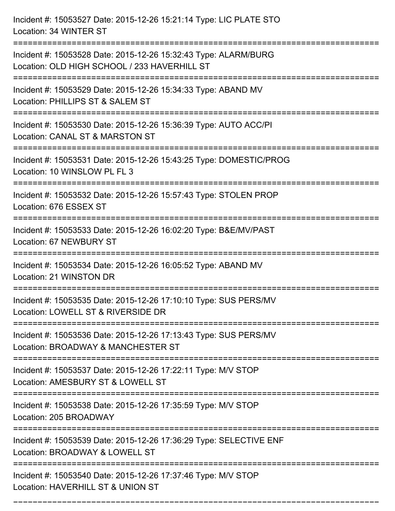| Incident #: 15053527 Date: 2015-12-26 15:21:14 Type: LIC PLATE STO<br>Location: 34 WINTER ST                                        |
|-------------------------------------------------------------------------------------------------------------------------------------|
| Incident #: 15053528 Date: 2015-12-26 15:32:43 Type: ALARM/BURG<br>Location: OLD HIGH SCHOOL / 233 HAVERHILL ST                     |
| Incident #: 15053529 Date: 2015-12-26 15:34:33 Type: ABAND MV<br>Location: PHILLIPS ST & SALEM ST<br>:============================= |
| Incident #: 15053530 Date: 2015-12-26 15:36:39 Type: AUTO ACC/PI<br>Location: CANAL ST & MARSTON ST                                 |
| Incident #: 15053531 Date: 2015-12-26 15:43:25 Type: DOMESTIC/PROG<br>Location: 10 WINSLOW PL FL 3                                  |
| Incident #: 15053532 Date: 2015-12-26 15:57:43 Type: STOLEN PROP<br>Location: 676 ESSEX ST                                          |
| Incident #: 15053533 Date: 2015-12-26 16:02:20 Type: B&E/MV/PAST<br>Location: 67 NEWBURY ST                                         |
| Incident #: 15053534 Date: 2015-12-26 16:05:52 Type: ABAND MV<br>Location: 21 WINSTON DR                                            |
| Incident #: 15053535 Date: 2015-12-26 17:10:10 Type: SUS PERS/MV<br>Location: LOWELL ST & RIVERSIDE DR                              |
| Incident #: 15053536 Date: 2015-12-26 17:13:43 Type: SUS PERS/MV<br>Location: BROADWAY & MANCHESTER ST                              |
| Incident #: 15053537 Date: 2015-12-26 17:22:11 Type: M/V STOP<br>Location: AMESBURY ST & LOWELL ST                                  |
| Incident #: 15053538 Date: 2015-12-26 17:35:59 Type: M/V STOP<br>Location: 205 BROADWAY                                             |
| Incident #: 15053539 Date: 2015-12-26 17:36:29 Type: SELECTIVE ENF<br>Location: BROADWAY & LOWELL ST                                |
| Incident #: 15053540 Date: 2015-12-26 17:37:46 Type: M/V STOP<br>Location: HAVERHILL ST & UNION ST                                  |

===========================================================================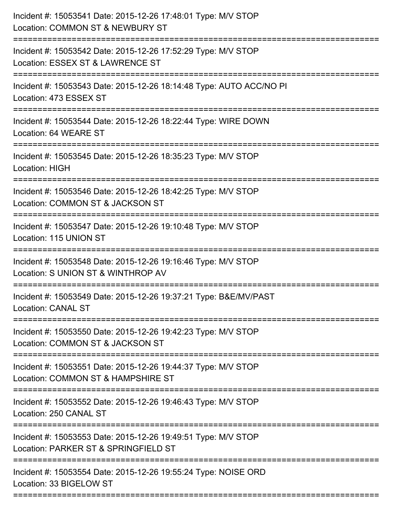| Incident #: 15053541 Date: 2015-12-26 17:48:01 Type: M/V STOP<br>Location: COMMON ST & NEWBURY ST<br>---------------------------                                   |
|--------------------------------------------------------------------------------------------------------------------------------------------------------------------|
| Incident #: 15053542 Date: 2015-12-26 17:52:29 Type: M/V STOP<br>Location: ESSEX ST & LAWRENCE ST                                                                  |
| Incident #: 15053543 Date: 2015-12-26 18:14:48 Type: AUTO ACC/NO PI<br>Location: 473 ESSEX ST                                                                      |
| Incident #: 15053544 Date: 2015-12-26 18:22:44 Type: WIRE DOWN<br>Location: 64 WEARE ST                                                                            |
| Incident #: 15053545 Date: 2015-12-26 18:35:23 Type: M/V STOP<br><b>Location: HIGH</b><br>--------------------                                                     |
| Incident #: 15053546 Date: 2015-12-26 18:42:25 Type: M/V STOP<br>Location: COMMON ST & JACKSON ST                                                                  |
| Incident #: 15053547 Date: 2015-12-26 19:10:48 Type: M/V STOP<br>Location: 115 UNION ST<br>====================================<br>:============================== |
| Incident #: 15053548 Date: 2015-12-26 19:16:46 Type: M/V STOP<br>Location: S UNION ST & WINTHROP AV                                                                |
| Incident #: 15053549 Date: 2015-12-26 19:37:21 Type: B&E/MV/PAST<br><b>Location: CANAL ST</b><br>======================                                            |
| Incident #: 15053550 Date: 2015-12-26 19:42:23 Type: M/V STOP<br>Location: COMMON ST & JACKSON ST                                                                  |
| Incident #: 15053551 Date: 2015-12-26 19:44:37 Type: M/V STOP<br>Location: COMMON ST & HAMPSHIRE ST                                                                |
| Incident #: 15053552 Date: 2015-12-26 19:46:43 Type: M/V STOP<br>Location: 250 CANAL ST                                                                            |
| Incident #: 15053553 Date: 2015-12-26 19:49:51 Type: M/V STOP<br>Location: PARKER ST & SPRINGFIELD ST                                                              |
| Incident #: 15053554 Date: 2015-12-26 19:55:24 Type: NOISE ORD<br>Location: 33 BIGELOW ST                                                                          |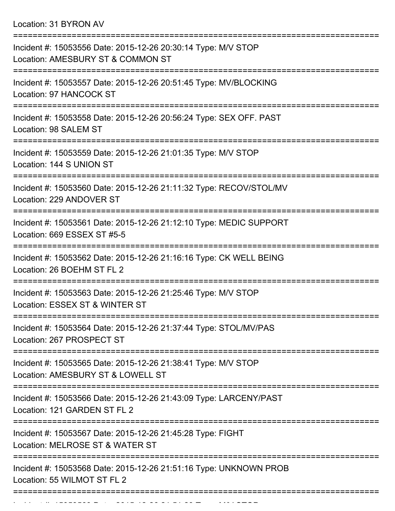Location: 31 BYRON AV

| Incident #: 15053556 Date: 2015-12-26 20:30:14 Type: M/V STOP<br>Location: AMESBURY ST & COMMON ST<br>----------------     |
|----------------------------------------------------------------------------------------------------------------------------|
| Incident #: 15053557 Date: 2015-12-26 20:51:45 Type: MV/BLOCKING<br>Location: 97 HANCOCK ST                                |
| Incident #: 15053558 Date: 2015-12-26 20:56:24 Type: SEX OFF. PAST<br>Location: 98 SALEM ST<br>===============             |
| Incident #: 15053559 Date: 2015-12-26 21:01:35 Type: M/V STOP<br>Location: 144 S UNION ST                                  |
| ========================<br>Incident #: 15053560 Date: 2015-12-26 21:11:32 Type: RECOV/STOL/MV<br>Location: 229 ANDOVER ST |
| Incident #: 15053561 Date: 2015-12-26 21:12:10 Type: MEDIC SUPPORT<br>Location: 669 ESSEX ST #5-5                          |
| Incident #: 15053562 Date: 2015-12-26 21:16:16 Type: CK WELL BEING<br>Location: 26 BOEHM ST FL 2                           |
| Incident #: 15053563 Date: 2015-12-26 21:25:46 Type: M/V STOP<br>Location: ESSEX ST & WINTER ST                            |
| Incident #: 15053564 Date: 2015-12-26 21:37:44 Type: STOL/MV/PAS<br>Location: 267 PROSPECT ST                              |
| Incident #: 15053565 Date: 2015-12-26 21:38:41 Type: M/V STOP<br>Location: AMESBURY ST & LOWELL ST                         |
| Incident #: 15053566 Date: 2015-12-26 21:43:09 Type: LARCENY/PAST<br>Location: 121 GARDEN ST FL 2                          |
| Incident #: 15053567 Date: 2015-12-26 21:45:28 Type: FIGHT<br>Location: MELROSE ST & WATER ST                              |
| Incident #: 15053568 Date: 2015-12-26 21:51:16 Type: UNKNOWN PROB<br>Location: 55 WILMOT ST FL 2                           |
|                                                                                                                            |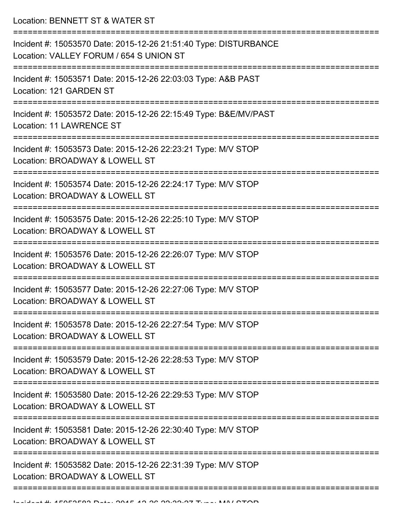Location: BENNETT ST & WATER ST

| Incident #: 15053570 Date: 2015-12-26 21:51:40 Type: DISTURBANCE<br>Location: VALLEY FORUM / 654 S UNION ST |
|-------------------------------------------------------------------------------------------------------------|
| Incident #: 15053571 Date: 2015-12-26 22:03:03 Type: A&B PAST<br>Location: 121 GARDEN ST                    |
| Incident #: 15053572 Date: 2015-12-26 22:15:49 Type: B&E/MV/PAST<br><b>Location: 11 LAWRENCE ST</b>         |
| Incident #: 15053573 Date: 2015-12-26 22:23:21 Type: M/V STOP<br>Location: BROADWAY & LOWELL ST             |
| Incident #: 15053574 Date: 2015-12-26 22:24:17 Type: M/V STOP<br>Location: BROADWAY & LOWELL ST             |
| Incident #: 15053575 Date: 2015-12-26 22:25:10 Type: M/V STOP<br>Location: BROADWAY & LOWELL ST             |
| Incident #: 15053576 Date: 2015-12-26 22:26:07 Type: M/V STOP<br>Location: BROADWAY & LOWELL ST             |
| Incident #: 15053577 Date: 2015-12-26 22:27:06 Type: M/V STOP<br>Location: BROADWAY & LOWELL ST             |
| Incident #: 15053578 Date: 2015-12-26 22:27:54 Type: M/V STOP<br>Location: BROADWAY & LOWELL ST             |
| Incident #: 15053579 Date: 2015-12-26 22:28:53 Type: M/V STOP<br>Location: BROADWAY & LOWELL ST             |
| Incident #: 15053580 Date: 2015-12-26 22:29:53 Type: M/V STOP<br>Location: BROADWAY & LOWELL ST             |
| Incident #: 15053581 Date: 2015-12-26 22:30:40 Type: M/V STOP<br>Location: BROADWAY & LOWELL ST             |
| Incident #: 15053582 Date: 2015-12-26 22:31:39 Type: M/V STOP<br>Location: BROADWAY & LOWELL ST             |
|                                                                                                             |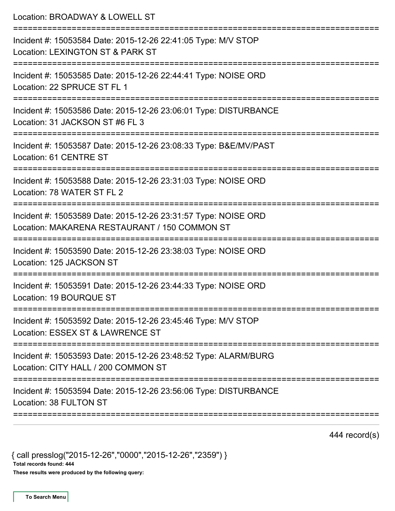| Location: BROADWAY & LOWELL ST                                                                                                        |
|---------------------------------------------------------------------------------------------------------------------------------------|
| Incident #: 15053584 Date: 2015-12-26 22:41:05 Type: M/V STOP<br>Location: LEXINGTON ST & PARK ST<br>:========================        |
| Incident #: 15053585 Date: 2015-12-26 22:44:41 Type: NOISE ORD<br>Location: 22 SPRUCE ST FL 1                                         |
| Incident #: 15053586 Date: 2015-12-26 23:06:01 Type: DISTURBANCE<br>Location: 31 JACKSON ST #6 FL 3                                   |
| Incident #: 15053587 Date: 2015-12-26 23:08:33 Type: B&E/MV/PAST<br>Location: 61 CENTRE ST                                            |
| Incident #: 15053588 Date: 2015-12-26 23:31:03 Type: NOISE ORD<br>Location: 78 WATER ST FL 2                                          |
| Incident #: 15053589 Date: 2015-12-26 23:31:57 Type: NOISE ORD<br>Location: MAKARENA RESTAURANT / 150 COMMON ST                       |
| Incident #: 15053590 Date: 2015-12-26 23:38:03 Type: NOISE ORD<br>Location: 125 JACKSON ST                                            |
| Incident #: 15053591 Date: 2015-12-26 23:44:33 Type: NOISE ORD<br>Location: 19 BOURQUE ST                                             |
| :===============================<br>Incident #: 15053592 Date: 2015-12-26 23:45:46 Type: M/V STOP<br>Location: ESSEX ST & LAWRENCE ST |
| Incident #: 15053593 Date: 2015-12-26 23:48:52 Type: ALARM/BURG<br>Location: CITY HALL / 200 COMMON ST                                |
| Incident #: 15053594 Date: 2015-12-26 23:56:06 Type: DISTURBANCE<br>Location: 38 FULTON ST                                            |
|                                                                                                                                       |

444 record(s)

{ call presslog("2015-12-26","0000","2015-12-26","2359") } Total records found: 444 These results were produced by the following query: